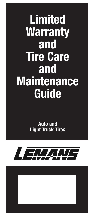# **Limited Warranty** and Tire Care and **Maintenance** Guide

Auto and Light Truck Tires

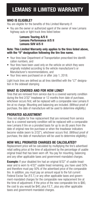# LEMANS® II LIMITED WARRANTY

# WHO IS ELIGIBLE?

You are eligible for the benefits of this Limited Warranty if:

• You are the owner or authorized agent of the owner of new Lemans highway auto or light truck tires listed below:

#### Lemans Touring A/S II Lemans Performance A/S II Lemans SUV A/S II

#### Note: This Limited Warranty only applies to the tires listed above, with the "II" designation following the tire line name.

- Your tires bear Department of Transportation prescribed tire identification numbers, and
- Your tires have been used only on the vehicle on which they were originally installed according to the vehicle manufacturer's or Manufacturer's recommendations, and
- Your tires were purchased on or after July 1, 2018.

Light truck tires are defined as all tires identified with the "LT" designation in the sidewall stamping

# WHAT IS COVERED AND FOR HOW LONG?

Tires that are removed from service due to a covered warranty condition during the first 2/32" treadwear or 12 months from date of purchase, whichever occurs first, will be replaced with a comparable new Lemans II tire at no charge. Mounting and balancing are included. (Without proof of purchase, the date of manufacture will be used to determine eligibility.)

# PRORATED ADJUSTMENT

Tires not eligible for free replacement that are removed from service due to a covered warranty condition will be replaced with a comparable new Lemans II tire on a prorated basis for up to six (6) years from the date of original new tire purchase or when the treadwear indicators become visible (worn to 2/32"), whichever occurs first. (Without proof of purchase, the date of manufacture will be used to determine eligibility.)

# HOW WILL PRORATED CHARGES BE CALCULATED?

Replacement price will be calculated by multiplying the tire's advertised retail selling price at the time of adjustment by the percentage of usable original tread that has been worn off. You pay for mounting, balancing and any other applicable taxes and government-mandated charges.

**Example:** If your disabled tire had an original 8/32" of usable treadwear and is worn to 4/32" usable tread remaining, you have used 50% and therefore must pay 50% of the advertised price of the comparable tire. In addition, you must pay an amount equal to the full current Federal Excise Tax (F.E.T.) or any other applicable taxes and government-mandated charges for the comparable new replacement tire at the time of adjustment. If the price of the new comparable tire is \$80, the cost to you would be \$40, plus F.E.T., plus any other applicable taxes and government-mandated charges.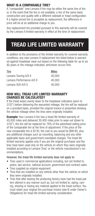# WHAT IS A COMPARABLE TIRE?

A "comparable" new Lemans II tire may be either the same line of tire or, in the event that the tire is not available, a tire of the same basic construction and quality with a different sidewall or tread configuration. If a higher-priced tire is accepted as replacement, the difference in price will be at an additional charge to you.

Any replacement tire provided pursuant to this warranty will be covered by the Lemans II limited warranty in effect at the time of replacement.

# TREAD LIFE LIMITED WARRANTY

In addition to the provisions of the limited warranty for covered warranty conditions, any new Lemans II replacement tire listed below is warranted against treadwear wear-out based on the following table for up to six (6) years or the mileage indicated, whichever occurs first:

| Miles  |
|--------|
| 40,000 |
| 40,000 |
| 40,000 |
|        |

#### HOW WILL TREAD LIFE LIMITED WARRANTY CHARGES BE CALCULATED?

If the tread wears evenly down to the treadwear indicators (worn to 2/32") before delivering the warranted mileage, the tire will be replaced on a prorated basis, provided the original invoice is presented showing the vehicle mileage when the tires were originally installed.

**Example:** Your Lemans II tire has a tread life limited warranty of 40,000 miles and delivered 30,400 miles prior to wear-out (down to 2/32"), the tire will be replaced for 76% of the advertised selling price of the comparable tire at the time of adjustment. If the price of the new comparable tire is \$130, the cost to you would be \$98.80, plus any additional charges such as mounting, balancing and any other applicable taxes and government-mandated charges. The tread life limited warranty applies only if you are the original purchaser and the tires have been used only on the vehicle on which they were originally installed according to Lemans Tires' or the vehicle manufacturer's recommendations.

#### However, the tread life limited warranty does not apply to:

- Tires used in commercial applications including, but not limited to, police, taxi service, national account, government and contract sales.
- Tires supplied as original equipment.
- Tires that are installed on any vehicle other than the vehicle on which they were originally installed.
- Tires that after leaving the producing factory have had the tread pattern altered in any manner such as, but not limited to, siping, carving, shaving or having any material applied to the tread surface. You must retain your original tire purchase invoice (see B under Owner's Obligations) for tread life limited warranty consideration.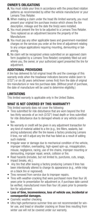# OWNER'S OBLIGATIONS

- A. You must rotate your tires in accordance with the prescribed rotation patterns as recommended by either the vehicle manufacturer or your Lemans Tires Retailer.
- **B.** When making a claim under the tread life limited warranty, you must present your original tire purchase invoice which shows the tire description, mileage and the date the tire(s) were installed.
- C. You must present the tire to be adjusted to a Lemans Tires Retailer. Tires replaced as an adjustment become the property of the Manufacturer.
- **D.** You must pay any other applicable taxes and government-mandated charges on the services you order at the time of adjustment relating to any unique applications requiring mounting, demounting or balancing.
- E. No claim will be recognized unless submitted on an approved claim form (supplied by a Lemans Tires Retailer) completely filled out and where you, the owner, or your authorized agent presented the tire for adjustment.

# ADDITIONAL PROVISIONS

A tire has delivered its full original tread life and the coverage of this warranty ends when the treadwear indicators become visible (worn to 2/32") or six (6) years (whichever comes first) from the date of original tire manufacture or new tire purchase date. (Without proof of purchase, the date of manufacture will be used to determine eligibility.)

# LIMITATIONS

This limited warranty is applicable only in the United States.

# WHAT IS NOT COVERED BY THIS WARRANTY?

This limited warranty does not cover the following:

- Tires submitted for ride disturbance that are worn beyond the first two thirty-seconds of an inch (2/32") tread depth or tires submitted for ride disturbance due to damaged wheels or any vehicle condition.
- No warranty or credit will be given in any adjustment transaction for any kind of material added to a tire (e.g., tire fillers, sealants, balancing substances) after the tire leaves a factory producing Lemans II tires, nor will it adjust any tire that has failed as a result of adding such material.
- Irregular wear or damage due to mechanical condition of the vehicle. improper inflation, overloading, high-speed spin-up, misapplication, misuse, negligence, racing, use of tire chains, improper mounting or demounting, improper repair, wreck, collision or fire.
- Road hazards (includes, but not limited to, punctures, cuts, snags, impact breaks, etc.).
- Any tire that after leaving a factory producing Lemans II tires has been intentionally altered to change its appearance (e.g., white inlay on a black tire or regrooved).
- Tires removed from service due to improper repairs.
- Tires with weather-cracking that were purchased more than four (4) years prior to presentation for adjustment or, if purchase date cannot be verified, manufactured more than four (4) years prior to presentation for adjustment.
- Loss of time, inconvenience, loss of vehicle use, incidental or consequential damages.
- Cosmetic weather checking.
- Ultra high-performance summer tires are not recommended for winter use, and tread or shoulder cracking on those tires resulting from winter use will not be covered under our warranty.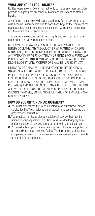# WHAT ARE YOUR LEGAL RIGHTS?

No Representative or Dealer has authority to make any representation, promise or agreement on behalf of Manufacturer, except as stated herein.

Any tire, no matter how well constructed, may fail in service or otherwise become unserviceable due to conditions beyond the control of the manufacturer. Under no circumstances is this warranty a representation that a tire failure cannot occur.

This warranty gives you specific legal rights and you may also have other rights that vary from state to state.

DISCLAIMER: THIS WARRANTY IS IN LIEU OF, AND MANUFACTURER HEREBY DISCLAIMS, ANY AND ALL OTHER WARRANTIES AND REPRE-SENTATIONS, EXPRESS OR IMPLIED, INCLUDING WITHOUT LIMITATION ANY WARRANTY OF MERCHANTABILITY OR FITNESS FOR A PARTICULAR PURPOSE, AND NO OTHER WARRANTY OR REPRESENTATION OF ANY KIND IS MADE BY MANUFACTURER OR SHALL BE IMPLIED BY LAW.

LIMITATION OF DAMAGES: IN NO EVENT AND UNDER NO CIRCUM-STANCE SHALL MANUFACTURER BE LIABLE TO THE BUYER FOR ANY INDIRECT, SPECIAL, INCIDENTAL, CONSEQUENTIAL, LOST PROFIT, LOSS OF BUSINESS, LOSS OF GOODWILL OR REPUTATION, PUNITIVE OR OTHER DAMAGE, COST (INCLUDING FOR REPLACEMENT TRANS-PORTATION), EXPENSE OR LOSS OF ANY KIND. SOME STATES DO NOT ALLOW THE EXCLUSION OR LIMITATION OF INCIDENTAL OR CONSE-QUENTIAL DAMAGES, SO THE ABOVE LIMITATION OR EXCLUSION MAY NOT APPLY TO YOU.

# HOW DO YOU OBTAIN AN ADJUSTMENT?

- A. You must present the tire to be adiusted to an authorized Lemans service facility. Tires replaced on an adjustment basis become the property of Manufacturer.
- **B.** You must pay for taxes plus any additional service that may be unique to your application, e.g. Tire Pressure-Monitoring System and any additional services you order at the time of adjustment.
- C. You must submit your claim on an approved claim form supplied by an authorized Lemans service facility. The form must be filled out completely, where you, the owner, or your authorized agent presented the tire for adjustment.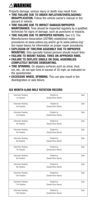# **AWARNING**

Property damage, serious injury or death may result from:

- TIRE FAILURE DUE TO UNDER INFLATION/OVERLOADING/ MISAPPLICATION. Follow the vehicle owner's manual or tire placard in vehicle.
- TIRE FAILURE DUE TO IMPACT DAMAGE/IMPROPER MAINTENANCE. Tires should be inspected regularly by a qualified technician for signs of damage, such as punctures or impacts.
- TIRE FAILURE DUE TO IMPROPER REPAIRS. See U.S. Tire Manufacturers Association (USTMA) established repair procedures at www.ustires.org and/or go to www.ustires.org/ tire-repair-basics for information on proper repair procedures.
- EXPLOSION OF TIRE/RIM ASSEMBLY DUE TO IMPROPER MOUNTING. Only specially trained persons should mount tires.
- FAILURE TO MOUNT RADIAL TIRES ON APPROVED RIMS.
- FAILURE TO DEFLATE SINGLE OR DUAL ASSEMBLIES COMPLETELY BEFORE DEMOUNTING.
- TIRE SPINNING. On slippery surfaces such as snow, mud, ice, etc., do not spin tires in excess of 35 mph, as indicated on the speedometer.
- EXCESSIVE WHEEL SPINNING. This can also result in tire disintegration or axle failure.

| Odometer Reading<br>1st Rotation        | Rotated by<br>(Dealer/Store Name) | Date        |
|-----------------------------------------|-----------------------------------|-------------|
| Odometer Reading<br>2nd Rotation        | Rotated by<br>(Dealer/Store Name) | Date        |
| Odometer Reading<br>3rd Rotation        | Rotated by<br>(Dealer/Store Name) | Date        |
| Odometer Reading<br>4th Rotation        | Rotated by<br>(Dealer/Store Name) | <b>Date</b> |
| Odometer Reading<br>5th Rotation        | Rotated by<br>(Dealer/Store Name) | Date        |
| <b>Odometer Reading</b><br>6th Rotation | Rotated by<br>(Dealer/Store Name) | Date        |
| Odometer Reading<br>7th Rotation        | Rotated by<br>(Dealer/Store Name) | Date        |
| Odometer Reading<br>8th Rotation        | Rotated by<br>(Dealer/Store Name) | Date        |
| Odometer Reading<br>9th Rotation        | Rotated by<br>(Dealer/Store Name) | Date        |
| Odometer Reading<br>10th Rotation       | Rotated by<br>(Dealer/Store Name) | Date        |
| Odometer Reading<br>11th Rotation       | Rotated by<br>(Dealer/Store Name) | <b>Date</b> |
| Odometer Reading<br>12th Rotation       | Rotated by<br>(Dealer/Store Name) | Date        |

# SIX MONTH-6,000 MILE ROTATION RECORD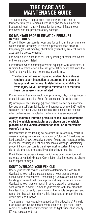# TIRE CARE AND MAINTENANCE GUIDE

The easiest way to help ensure satisfactory mileage and performance from your Lemans II tires is to give them a simple but frequent (at least monthly) inspection for proper inflation, even treadwear and the presence of any damage.

# DO MAINTAIN PROPER INFLATION PRESSURE IN YOUR TIRES

Proper inflation pressure is necessary for optimum tire performance, safety and fuel economy. To maintain proper inflation pressure, frequently (at least monthly) check tires (when they are cool) with an accurate tire pressure gauge\*.

For example, it is difficult to tell just by looking at radial tires whether they are underinflated.

Furthermore, when operating a vehicle equipped with radial tires, it is difficult to notice when a tire has gone flat or nearly flat since the "feel" of the vehicle does not change significantly.

#### \*Evidence of air loss or repeated underinflation always requires expert inspection to determine the source of leakage and tire removal to determine repairability. To avoid injury, NEVER attempt to reinflate a tire that has been run severely underinflated.

Progressive air loss may result from punctures, cuts, curbing, impacts or partial bead unseating. Some fitment causes for air loss are:

(1) incomplete bead seating, (2) bead tearing caused by a machine tool due to insufficient lubrication or improper adjustment, (3) leaking valve core or rubber valve components. These should be replaced when problems are detected and whenever tires are replaced.

#### Always maintain inflation pressure at the level recommended by the vehicle manufacturer as shown on the vehicle placard, on the vehicle certification label or in the vehicle owner's manual:

Underinflation is the leading cause of tire failure and may result in severe cracking, component separation or "blowout." It reduces tire load capacity, allows excessive sidewall flexing and increases rolling resistance, resulting in heat and mechanical damage. Maintaining proper inflation pressure is the single most important thing you can do to help promote tire durability and maximize tread life.

Overinflation increases stiffness, which may deteriorate ride and generate unwanted vibration. Overinflation also increases the chances of impact damage.

# DON'T OVERLOAD YOUR VEHICLE

Check your vehicle owner's manual to determine the load limits. Overloading your vehicle places stress on your tires and other critical vehicle components. Overloading a vehicle can cause poor handling, increased fuel consumption and may cause tire failure. Overloading your tires can result in severe cracking, component separation or "blowout." Never fit your vehicle with new tires that have less load capacity than shown on the vehicle tire placard, and remember that optimum rim width is important for proper tire load distribution and function.

The maximum load capacity stamped on the sidewalls of P-metric tires is reduced by 10 percent when used on a light truck, utility vehicle or trailer. Never fit P-metric tires to light trucks that specify LT-type replacement tires.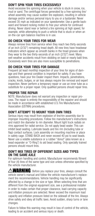# DON'T SPIN YOUR TIRES EXCESSIVELY

Avoid excessive tire spinning when your vehicle is stuck in snow, ice, mud or sand. The centrifugal forces generated by a free-spinning tire/ wheel assembly may cause sudden tire explosion, resulting in vehicle damage and/or serious personal injury to you or a bystander. Never exceed 35 mph as indicated on your speedometer. Use a gentle backward and forward rocking motion to free your vehicle for continued driving. Never stand near or behind a tire spinning at high speed, for example, while attempting to push a vehicle that is stuck or when an on-the-car spin balance machine is in use.

# DO CHECK YOUR TIRES FOR WEAR

Always remove tires from service when they reach two thirty-seconds of an inch (2/32") remaining tread depth. All new tires have treadwear indicators which appear as smooth banks in the tread grooves when they wear to the two thirty-seconds of an inch (2/32") level. Many wet-weather accidents result from skidding on bald or nearly bald tires. Excessively worn tires are also more susceptible to penetrations.

# DO CHECK YOUR TIRES FOR DAMAGE

Frequent (at least monthly) inspection of your tires for signs of damage and their general condition is important for safety. If you have questions, have your tire Dealer inspect them. Impacts, penetrations, cracks, knots, bulges, or air loss always require tire removal and expert inspection. Never perform a temporary repair or use an inner tube as a substitute for a proper repair. Only qualified persons should repair tires.

# PROPER TIRE REPAIR

NOTE: Manufacturer does not warrant any inspection or repair process. The repair is entirely the responsibility of the repairer and should be made in accordance with established U.S.Tire Manufacturers Association (USTMA) procedures.

# DON'T ATTEMPT TO MOUNT YOUR OWN TIRES

Serious injury may result from explosion of tire/rim assembly due to improper mounting procedures. Follow tire manufacturer's instructions and match tire diameter to rim diameter. Mount light truck radials on rims approved for radial service. Do not apply bead sealer. This can inhibit bead seating. Lubricate beads and tire rim (including tube or flap) contact surfaces. Lock assembly on mounting machine or place in safety cage. STAND BACK and never exceed 40 psi to seat beads. Never use a volatile substance or a rubber "donut" (also known as a bead expander or "O-Ring") to aid bead seating. Only specially trained persons should mount tires.

# DON'T MIX TIRES OF DIFFERENT SIZES AND TYPES ON THE SAME AXLE

For optimum handling and control, Manufacturer recommends fitment of four (4) tires of the same type and size unless otherwise specified by the vehicle manufacturer.

 $\triangle$ WARNING: Before you replace your tires, always consult the vehicle owner's manual and follow the vehicle manufacturer's replacement tire recommendations. Vehicle handling may be significantly affected by a change in tire size or type. When selecting tires that are different from the original equipment size, see a professional installer in order to make certain that proper clearance, load-carrying capacity and inflation pressure are selected. Never exceed the maximum load capacity and inflation pressure listed on the sidewall of the tire. Always drive safely and obey all traffic laws. Avoid sudden, sharp turns or lane changes.

Failure to follow this warning may result in loss of control of the vehicle, leading to an accident and serious injury or death.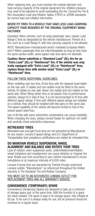When replacing tires, you must maintain the outside diameter and load-carrying capacity of the original equipment tire. Inflation pressure may need to be adjusted to avoid overloading the tire. Consult the Tire & Rim Association Load and Inflation Tables, ETRTO or JATMA standards for correct load and inflation information.

#### NEVER FIT TIRES TO A VEHICLE THAT HAVE LESS LOAD-CARRYING CAPACITY THAN REQUIRED BY THE ORIGINAL EQUIPMENT MANU-FACTURER.

Examples: Many vehicles, such as large passenger vans, require Load Range E tires as designated by the vehicle manufacturer. Fitment of a tire, such as a Load Range D, with less carrying capacity is not allowed.

NOTE: Manufacturer-manufactured and/or marketed European-Metric and P-Metric passenger tires are interchangeable as long as they have the same section width, same aspect ratio and same rim diameter.

#### Caution: Never substitute a "Standard Load" (SL) tire for an "Extra Load" (XL) or "Reinforced" tire. If the vehicle was originally equipped with "Extra Load" (XL) or "Reinforced" tires, replace those tires with similar-sized "Extra Load" (XL) or "Reinforced" tires.

#### FOLLOW THESE ADDITIONAL GUIDELINES:

When installing only two tires, fit the tires with the deepest tread depth on the rear axle. If radials and non-radials must be fitted to the same vehicle, fit radials on rear axle. Never mix radials and non-radials on the same axle. When fitting winter tires or all-season tires to performance vehicles, always fit in sets of four. It is not recommended to fit tires with different speed ratings. If tires with different speed ratings are installed on a vehicle, they should be installed with like pairs on the same axle. The speed capability of the vehicle will become limited to that of the lowest speed rated tires.

Use of lift kits with some vehicle/tire combinations can cause instability. When changing tire sizes, always consult Dealer for optimum rim width and carefully check vehicle/tire clearances.

# RETREADED TIRES

Retreaded auto and light truck tires are not warranted by Manufacturer for any reason. Lemans II speed ratings and U.S. Department of Transportation test compliance certifications are voided for retreaded tires.

#### DO MAINTAIN VEHICLE SUSPENSION, WHEEL ALIGNMENT AND BALANCE AND ROTATE YOUR TIRES

Lack of rotation, worn suspension parts, underinflation/overinflation, wheel imbalance and misalignment can cause vibration or irregular tire wear. Rotate your tires according to your vehicle manufacturer's recommendations or at maximum intervals of 6,000 miles.

Lemans II brand tires are warranted by TireHub through authorized Lemans outlets. "Manufacturer" as referenced throughout this limited warranty is The Goodyear Tire and Rubber Company.

#### YOU MUST GO TO AN AUTHORIZED LEMANS OUTLET FOR REPLACEMENT TIRES AND ALL WARRANTY SERVICE.

# CONVENIENCE (TEMPORARY) SPARE

Convenience (Temporary) Spares are designed to take up a minimum of storage space and, at the same time, fulfill the function of a spare tire when needed. The spare is kept in its storage space, fully inflated at 60 psi. To be sure it is always ready for use, the air pressure should be checked on a regular basis.